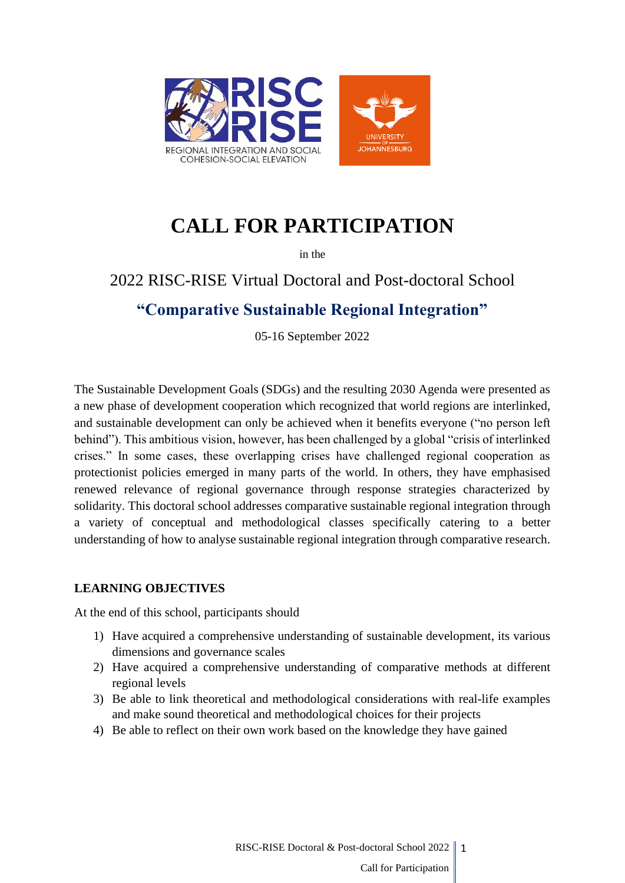

# **CALL FOR PARTICIPATION**

in the

# 2022 RISC-RISE Virtual Doctoral and Post-doctoral School

# **"Comparative Sustainable Regional Integration"**

05-16 September 2022

The Sustainable Development Goals (SDGs) and the resulting 2030 Agenda were presented as a new phase of development cooperation which recognized that world regions are interlinked, and sustainable development can only be achieved when it benefits everyone ("no person left behind"). This ambitious vision, however, has been challenged by a global "crisis of interlinked crises." In some cases, these overlapping crises have challenged regional cooperation as protectionist policies emerged in many parts of the world. In others, they have emphasised renewed relevance of regional governance through response strategies characterized by solidarity. This doctoral school addresses comparative sustainable regional integration through a variety of conceptual and methodological classes specifically catering to a better understanding of how to analyse sustainable regional integration through comparative research.

#### **LEARNING OBJECTIVES**

At the end of this school, participants should

- 1) Have acquired a comprehensive understanding of sustainable development, its various dimensions and governance scales
- 2) Have acquired a comprehensive understanding of comparative methods at different regional levels
- 3) Be able to link theoretical and methodological considerations with real-life examples and make sound theoretical and methodological choices for their projects
- 4) Be able to reflect on their own work based on the knowledge they have gained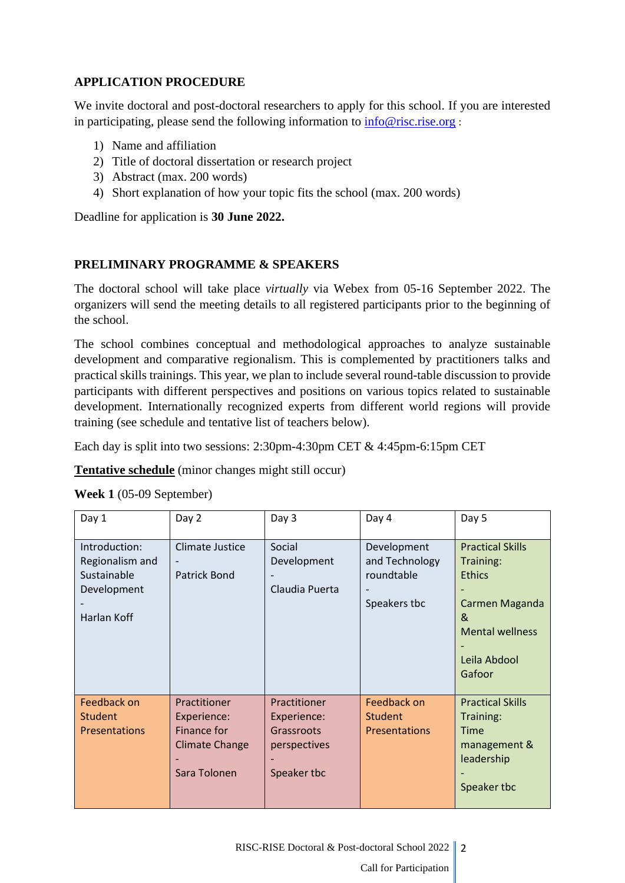## **APPLICATION PROCEDURE**

We invite doctoral and post-doctoral researchers to apply for this school. If you are interested in participating, please send the following information to  $info@rise$ .rise.org :

- 1) Name and affiliation
- 2) Title of doctoral dissertation or research project
- 3) Abstract (max. 200 words)
- 4) Short explanation of how your topic fits the school (max. 200 words)

Deadline for application is **30 June 2022.**

## **PRELIMINARY PROGRAMME & SPEAKERS**

The doctoral school will take place *virtually* via Webex from 05-16 September 2022. The organizers will send the meeting details to all registered participants prior to the beginning of the school.

The school combines conceptual and methodological approaches to analyze sustainable development and comparative regionalism. This is complemented by practitioners talks and practical skills trainings. This year, we plan to include several round-table discussion to provide participants with different perspectives and positions on various topics related to sustainable development. Internationally recognized experts from different world regions will provide training (see schedule and tentative list of teachers below).

Each day is split into two sessions: 2:30pm-4:30pm CET & 4:45pm-6:15pm CET

**Tentative schedule** (minor changes might still occur)

| Day 1                                                                         | Day 2                                                                               | Day 3                                                                    | Day 4                                                       | Day 5                                                                                                                            |
|-------------------------------------------------------------------------------|-------------------------------------------------------------------------------------|--------------------------------------------------------------------------|-------------------------------------------------------------|----------------------------------------------------------------------------------------------------------------------------------|
| Introduction:<br>Regionalism and<br>Sustainable<br>Development<br>Harlan Koff | Climate Justice<br>Patrick Bond                                                     | Social<br>Development<br>Claudia Puerta                                  | Development<br>and Technology<br>roundtable<br>Speakers tbc | <b>Practical Skills</b><br>Training:<br><b>Ethics</b><br>Carmen Maganda<br>&<br><b>Mental wellness</b><br>Leila Abdool<br>Gafoor |
| Feedback on<br><b>Student</b><br><b>Presentations</b>                         | Practitioner<br>Experience:<br>Finance for<br><b>Climate Change</b><br>Sara Tolonen | Practitioner<br>Experience:<br>Grassroots<br>perspectives<br>Speaker tbc | Feedback on<br><b>Student</b><br><b>Presentations</b>       | <b>Practical Skills</b><br>Training:<br><b>Time</b><br>management &<br>leadership<br>Speaker tbc                                 |

**Week 1** (05-09 September)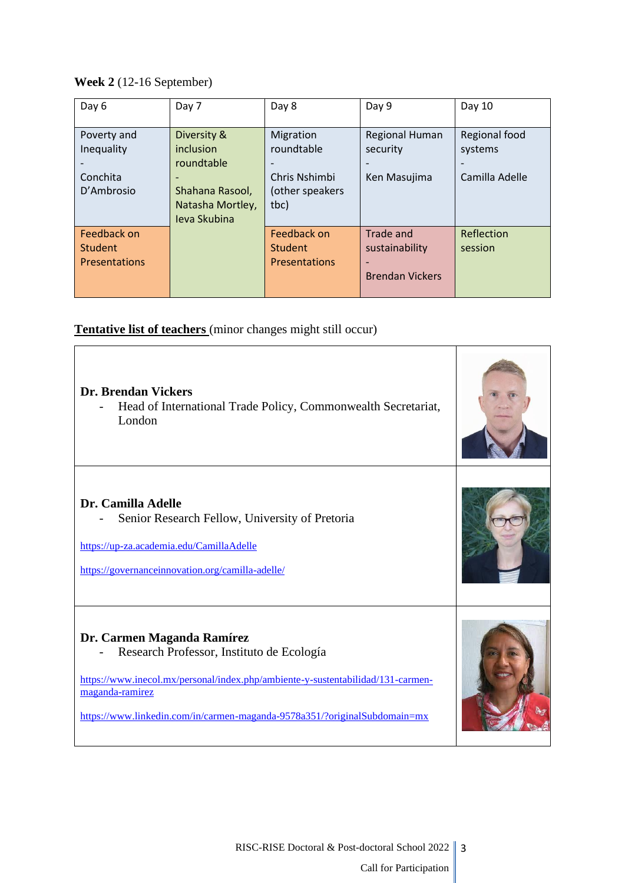**Week 2** (12-16 September)

| Day 6                | Day 7               | Day 8                | Day 9                  | Day 10         |
|----------------------|---------------------|----------------------|------------------------|----------------|
|                      |                     |                      |                        |                |
| Poverty and          | Diversity &         | Migration            | <b>Regional Human</b>  | Regional food  |
| Inequality           | inclusion           | roundtable           | security               | systems        |
|                      | roundtable          |                      |                        |                |
| Conchita             |                     | Chris Nshimbi        | Ken Masujima           | Camilla Adelle |
| D'Ambrosio           | Shahana Rasool,     | (other speakers      |                        |                |
|                      | Natasha Mortley,    | tbc)                 |                        |                |
|                      | <b>Ieva Skubina</b> |                      |                        |                |
| Feedback on          |                     | Feedback on          | Trade and              | Reflection     |
| <b>Student</b>       |                     | <b>Student</b>       | sustainability         | session        |
| <b>Presentations</b> |                     | <b>Presentations</b> |                        |                |
|                      |                     |                      | <b>Brendan Vickers</b> |                |
|                      |                     |                      |                        |                |

**Tentative list of teachers** (minor changes might still occur)

| <b>Dr. Brendan Vickers</b><br>Head of International Trade Policy, Commonwealth Secretariat,<br>London                                                                                                                                                      |  |
|------------------------------------------------------------------------------------------------------------------------------------------------------------------------------------------------------------------------------------------------------------|--|
| Dr. Camilla Adelle<br>Senior Research Fellow, University of Pretoria<br>https://up-za.academia.edu/CamillaAdelle<br>https://governanceinnovation.org/camilla-adelle/                                                                                       |  |
| Dr. Carmen Maganda Ramírez<br>Research Professor, Instituto de Ecología<br>https://www.inecol.mx/personal/index.php/ambiente-y-sustentabilidad/131-carmen-<br>maganda-ramirez<br>https://www.linkedin.com/in/carmen-maganda-9578a351/?originalSubdomain=mx |  |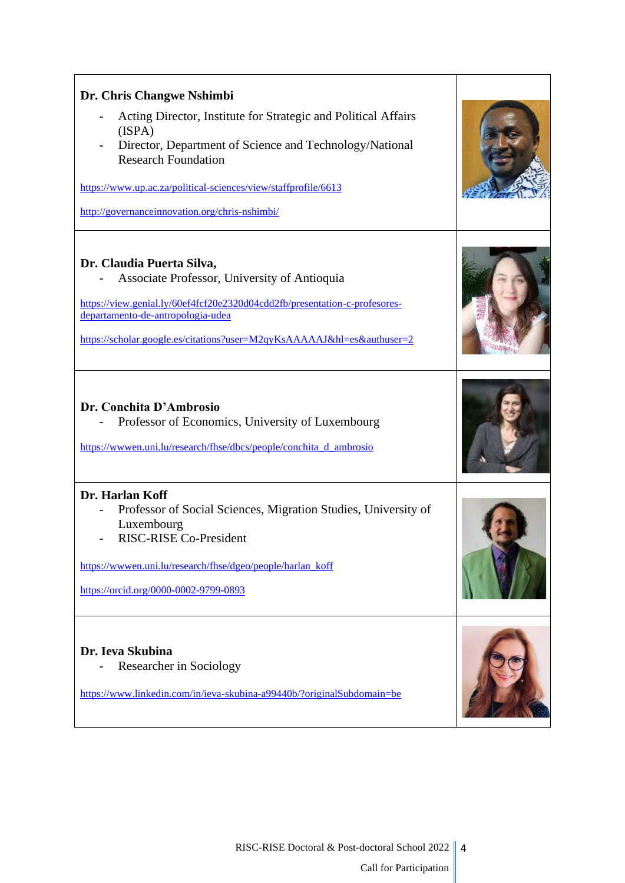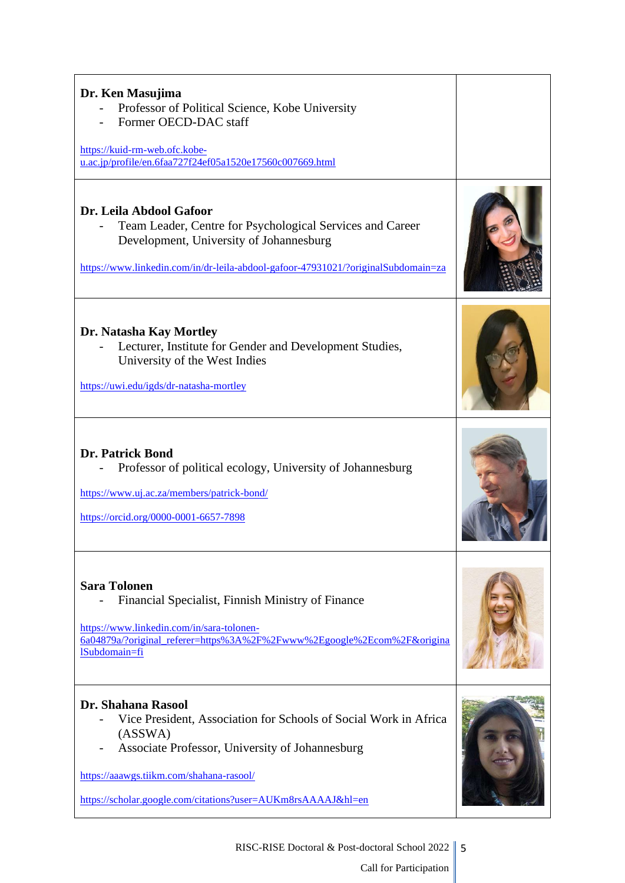| Dr. Ken Masujima<br>Professor of Political Science, Kobe University<br>Former OECD-DAC staff<br>https://kuid-rm-web.ofc.kobe-<br>u.ac.jp/profile/en.6faa727f24ef05a1520e17560c007669.html                                                                               |  |
|-------------------------------------------------------------------------------------------------------------------------------------------------------------------------------------------------------------------------------------------------------------------------|--|
| Dr. Leila Abdool Gafoor<br>Team Leader, Centre for Psychological Services and Career<br>Development, University of Johannesburg<br>https://www.linkedin.com/in/dr-leila-abdool-gafoor-47931021/?originalSubdomain=za                                                    |  |
| Dr. Natasha Kay Mortley<br>Lecturer, Institute for Gender and Development Studies,<br>University of the West Indies<br>https://uwi.edu/igds/dr-natasha-mortley                                                                                                          |  |
| <b>Dr. Patrick Bond</b><br>Professor of political ecology, University of Johannesburg<br>https://www.uj.ac.za/members/patrick-bond/<br>https://orcid.org/0000-0001-6657-7898                                                                                            |  |
| <b>Sara Tolonen</b><br>Financial Specialist, Finnish Ministry of Finance<br>https://www.linkedin.com/in/sara-tolonen-<br>6a04879a/?original_referer=https%3A%2F%2Fwww%2Egoogle%2Ecom%2F&origina<br>lSubdomain=fi                                                        |  |
| <b>Dr. Shahana Rasool</b><br>Vice President, Association for Schools of Social Work in Africa<br>(ASSWA)<br>Associate Professor, University of Johannesburg<br>https://aaawgs.tiikm.com/shahana-rasool/<br>https://scholar.google.com/citations?user=AUKm8rsAAAAJ&hl=en |  |